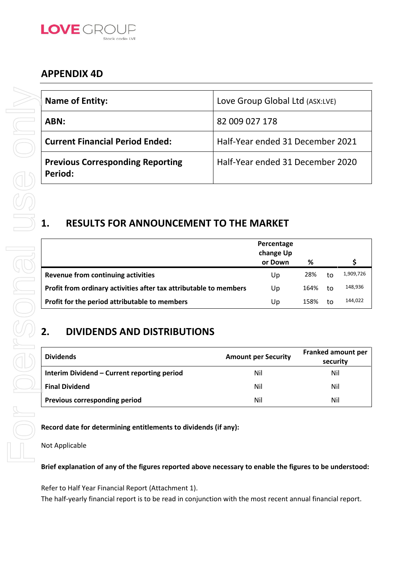

# **APPENDIX 4D**

| <b>Name of Entity:</b>                                                                                      | Love Group Global Ltd (ASX:LVE)    |            |                                |
|-------------------------------------------------------------------------------------------------------------|------------------------------------|------------|--------------------------------|
| ABN:                                                                                                        | 82 009 027 178                     |            |                                |
| <b>Current Financial Period Ended:</b>                                                                      | Half-Year ended 31 December 2021   |            |                                |
| <b>Previous Corresponding Reporting</b><br>Period:                                                          | Half-Year ended 31 December 2020   |            |                                |
| <b>RESULTS FOR ANNOUNCEMENT TO THE MARKET</b><br>1.                                                         | Percentage<br>change Up<br>or Down | %          | \$                             |
| <b>Revenue from continuing activities</b>                                                                   | Up                                 | 28%<br>to  | 1,909,726                      |
| Profit from ordinary activities after tax attributable to members                                           | Up                                 | 164%<br>to | 148,936                        |
| Profit for the period attributable to members                                                               | Up                                 | 158%<br>to | 144,022                        |
| 2.<br><b>DIVIDENDS AND DISTRIBUTIONS</b>                                                                    |                                    |            |                                |
| <b>Dividends</b>                                                                                            | <b>Amount per Security</b>         |            | Franked amount per<br>security |
| Interim Dividend - Current reporting period                                                                 | Nil                                |            | Nil                            |
| <b>Final Dividend</b>                                                                                       | Nil                                |            | Nil                            |
| Previous corresponding period                                                                               | Nil                                |            | Nil                            |
| Record date for determining entitlements to dividends (if any):                                             |                                    |            |                                |
| Not Applicable                                                                                              |                                    |            |                                |
| Brief explanation of any of the figures reported above necessary to enable the figures to be understood     |                                    |            |                                |
| Refer to Half Year Financial Report (Attachment 1).                                                         |                                    |            |                                |
| The half-yearly financial report is to be read in conjunction with the most recent annual financial report. |                                    |            |                                |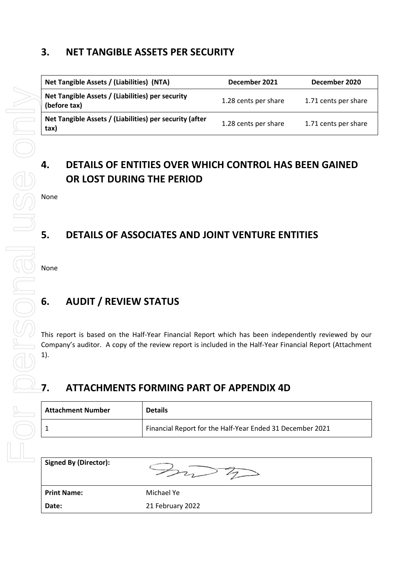# **3. NET TANGIBLE ASSETS PER SECURITY**

| Net Tangible Assets / (Liabilities) (NTA)                        | December 2021        | December 2020        |
|------------------------------------------------------------------|----------------------|----------------------|
| Net Tangible Assets / (Liabilities) per security<br>(before tax) | 1.28 cents per share | 1.71 cents per share |
| Net Tangible Assets / (Liabilities) per security (after<br>tax)  | 1.28 cents per share | 1.71 cents per share |

# **4. DETAILS OF ENTITIES OVER WHICH CONTROL HAS BEEN GAINED OR LOST DURING THE PERIOD**

# **5. DETAILS OF ASSOCIATES AND JOINT VENTURE ENTITIES**

# **6. AUDIT / REVIEW STATUS**

This report is based on the Half-Year Financial Report which has been independently reviewed by our Company's auditor. A copy of the review report is included in the Half-Year Financial Report (Attachment

# **7. ATTACHMENTS FORMING PART OF APPENDIX 4D**

| <b>Attachment Number</b> | <b>Details</b>                                            |
|--------------------------|-----------------------------------------------------------|
|                          | Financial Report for the Half-Year Ended 31 December 2021 |

**Signed By (Director):**

 $\gg\sqrt{2}$ 

**Print Name:** Michael Ye

**Date:** 21 February 2022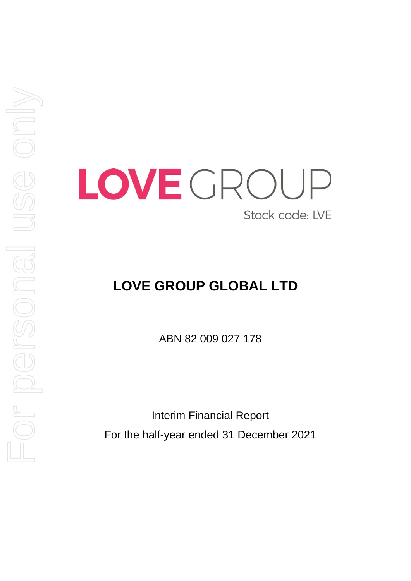

# **LOVE GROUP GLOBAL LTD**

ABN 82 009 027 178

Interim Financial Report For the half-year ended 31 December 2021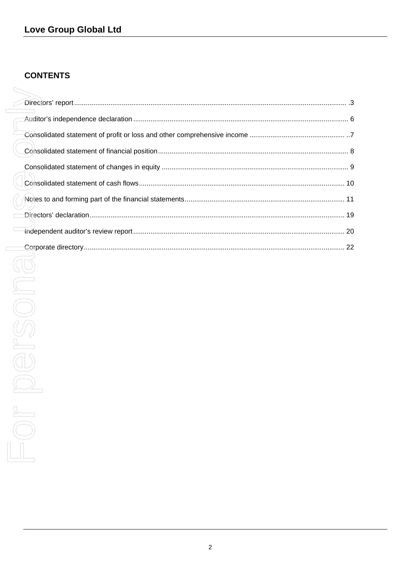### **CONTENTS**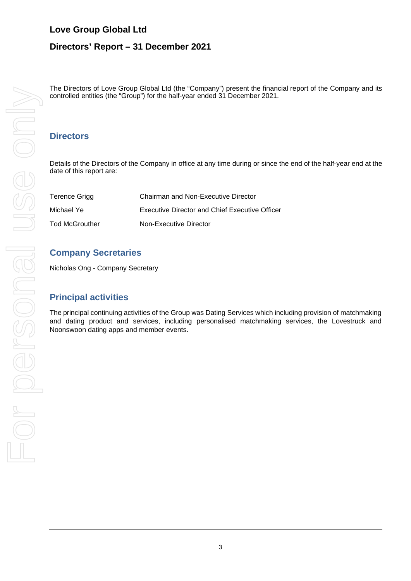### **Directors' Report – 31 December 2021**

The Directors of Love Group Global Ltd (the "Company") present the financial report of the Company and its controlled entities (the "Group") for the half-year ended 31 December 2021.

### **Directors**

Details of the Directors of the Company in office at any time during or since the end of the half-year end at the date of this report are:

| Terence Grigg  | <b>Chairman and Non-Executive Director</b>     |
|----------------|------------------------------------------------|
| Michael Ye     | Executive Director and Chief Executive Officer |
| Tod McGrouther | Non-Executive Director                         |

### **Company Secretaries**

Nicholas Ong - Company Secretary

### **Principal activities**

The principal continuing activities of the Group was Dating Services which including provision of matchmaking and dating product and services, including personalised matchmaking services, the Lovestruck and Noonswoon dating apps and member events.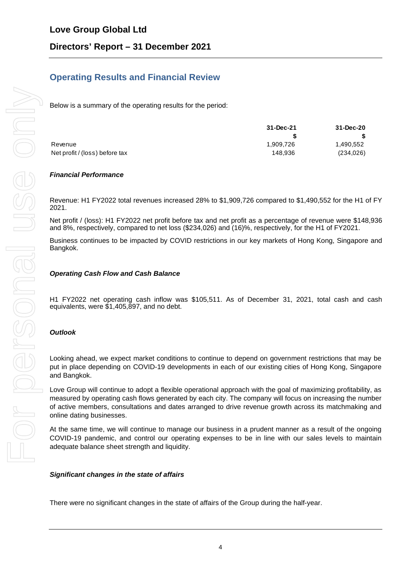### **Operating Results and Financial Review**

Below is a summary of the operating results for the period:

|                                | 31-Dec-21 | 31-Dec-20  |
|--------------------------------|-----------|------------|
|                                |           |            |
| Revenue                        | 1.909.726 | 1,490,552  |
| Net profit / (loss) before tax | 148.936   | (234, 026) |

#### *Financial Performance*

Revenue: H1 FY2022 total revenues increased 28% to \$1,909,726 compared to \$1,490,552 for the H1 of FY 2021.

Net profit / (loss): H1 FY2022 net profit before tax and net profit as a percentage of revenue were \$148,936 and 8%, respectively, compared to net loss (\$234,026) and (16)%, respectively, for the H1 of FY2021.

Business continues to be impacted by COVID restrictions in our key markets of Hong Kong, Singapore and Bangkok.

#### *Operating Cash Flow and Cash Balance*

H1 FY2022 net operating cash inflow was \$105,511. As of December 31, 2021, total cash and cash equivalents, were \$1,405,897, and no debt.

#### *Outlook*

Looking ahead, we expect market conditions to continue to depend on government restrictions that may be put in place depending on COVID-19 developments in each of our existing cities of Hong Kong, Singapore and Bangkok.

Love Group will continue to adopt a flexible operational approach with the goal of maximizing profitability, as measured by operating cash flows generated by each city. The company will focus on increasing the number of active members, consultations and dates arranged to drive revenue growth across its matchmaking and online dating businesses.

At the same time, we will continue to manage our business in a prudent manner as a result of the ongoing COVID-19 pandemic, and control our operating expenses to be in line with our sales levels to maintain adequate balance sheet strength and liquidity.

#### *Significant changes in the state of affairs*

There were no significant changes in the state of affairs of the Group during the half-year.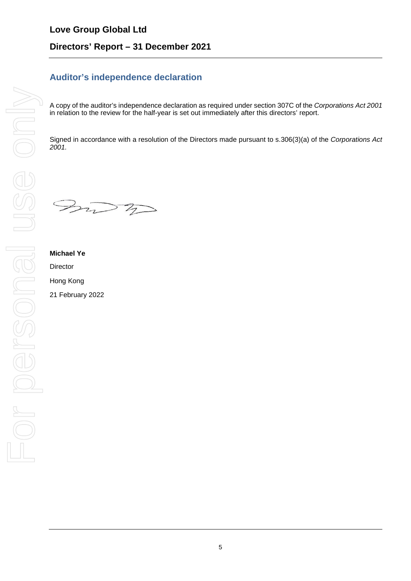### **Love Group Global Ltd**

### **Directors' Report – 31 December 2021**

### **Auditor's independence declaration**

A copy of the auditor's independence declaration as required under section 307C of the *Corporations Act 2001* in relation to the review for the half-year is set out immediately after this directors' report.

Signed in accordance with a resolution of the Directors made pursuant to s.306(3)(a) of the *Corporations Act 2001.* 

 $\gg\sqrt{7}$ 

# **Michael Ye Director** Hong Kong 21 February 2022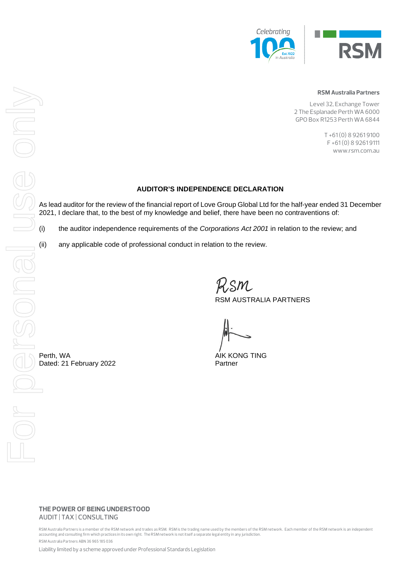



#### **RSM Australia Partners**

Level 32, Exchange Tower 2 The Esplanade Perth WA 6000 GPO Box R1253 Perth WA 6844

> T +61 (0) 8 9261 9100 F +61 (0) 8 9261 9111 www.rsm.com.au

#### **AUDITOR'S INDEPENDENCE DECLARATION**

As lead auditor for the review of the financial report of Love Group Global Ltd for the half-year ended 31 December 2021, I declare that, to the best of my knowledge and belief, there have been no contraventions of:

(i) the auditor independence requirements of the *Corporations Act 2001* in relation to the review; and

(ii) any applicable code of professional conduct in relation to the review.

RSM AUSTRALIA PARTNERS

#### **THE POWER OF BEING UNDERSTOOD** AUDIT | TAX | CONSULTING

RSM Australia Partners is a member of the RSM network and trades as RSM. RSM is the trading name used by the members of the RSM network. Each member of the RSM network is an independent accounting and consulting firm which practices in its own right. The RSM network is not itself a separate legal entity in any jurisdiction. RSM Australia Partners ABN 36 965 185 036

Liability limited by a scheme approved under Professional Standards Legislation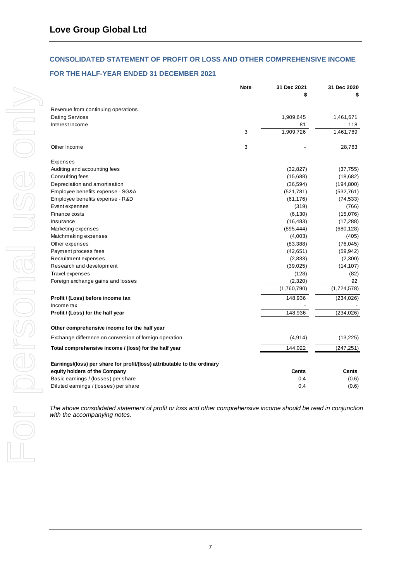#### **CONSOLIDATED STATEMENT OF PROFIT OR LOSS AND OTHER COMPREHENSIVE INCOME**

#### **FOR THE HALF-YEAR ENDED 31 DECEMBER 2021**

|                                                                          | <b>Note</b> | 31 Dec 2021 | 31 Dec 2020  |
|--------------------------------------------------------------------------|-------------|-------------|--------------|
|                                                                          |             | \$          |              |
| Revenue from continuing operations                                       |             |             |              |
| Dating Services                                                          |             | 1,909,645   | 1,461,671    |
| Interest Income                                                          |             | 81          | 118          |
|                                                                          | 3           | 1,909,726   | 1,461,789    |
| Other Income                                                             | 3           |             | 28,763       |
| Expenses                                                                 |             |             |              |
| Auditing and accounting fees                                             |             | (32, 827)   | (37, 755)    |
| Consulting fees                                                          |             | (15,688)    | (18,682)     |
| Depreciation and amortisation                                            |             | (36, 594)   | (194, 800)   |
| Employee benefits expense - SG&A                                         |             | (521, 781)  | (532, 761)   |
| Employee benefits expense - R&D                                          |             | (61, 176)   | (74, 533)    |
| Event expenses                                                           |             | (319)       | (766)        |
| Finance costs                                                            |             | (6, 130)    | (15,076)     |
| Insurance                                                                |             | (16, 483)   | (17, 288)    |
| Marketing expenses                                                       |             | (895, 444)  | (680, 128)   |
| Matchmaking expenses                                                     |             | (4,003)     | (405)        |
| Other expenses                                                           |             | (83, 388)   | (76, 045)    |
| Payment process fees                                                     |             | (42, 651)   | (59, 942)    |
| Recruitment expenses                                                     |             | (2,833)     | (2,300)      |
| Research and development                                                 |             | (39,025)    | (14, 107)    |
| <b>Travel expenses</b>                                                   |             | (128)       | (82)         |
| Foreign exchange gains and losses                                        |             | (2,320)     | 92           |
|                                                                          |             | (1,760,790) | (1,724,578)  |
| Profit / (Loss) before income tax                                        |             | 148,936     | (234, 026)   |
| Income tax                                                               |             |             |              |
| Profit / (Loss) for the half year                                        |             | 148,936     | (234, 026)   |
| Other comprehensive income for the half year                             |             |             |              |
| Exchange difference on conversion of foreign operation                   |             | (4, 914)    | (13, 225)    |
| Total comprehensive income / (loss) for the half year                    |             | 144,022     | (247, 251)   |
| Earnings/(loss) per share for profit/(loss) attributable to the ordinary |             |             |              |
| equity holders of the Company                                            |             | Cents       | <b>Cents</b> |
| Basic earnings / (losses) per share                                      |             | 0.4         | (0.6)        |
| Diluted earnings / (losses) per share                                    |             | 0.4         | (0.6)        |

*The above consolidated statement of profit or loss and other comprehensive income should be read in conjunction with the accompanying notes.*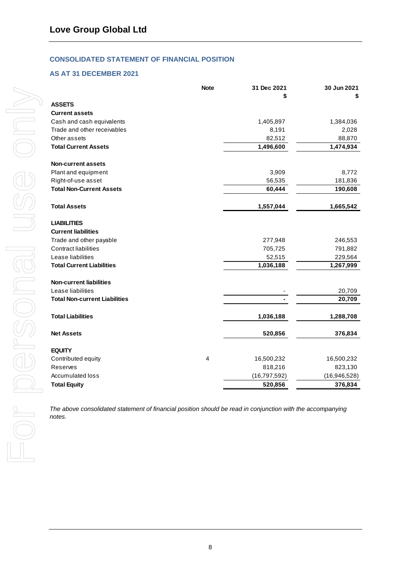#### **CONSOLIDATED STATEMENT OF FINANCIAL POSITION**

#### **AS AT 31 DECEMBER 2021**

|                                      | <b>Note</b> | 31 Dec 2021    | 30 Jun 2021  |
|--------------------------------------|-------------|----------------|--------------|
|                                      |             | S              |              |
| <b>ASSETS</b>                        |             |                |              |
| <b>Current assets</b>                |             |                |              |
| Cash and cash equivalents            |             | 1,405,897      | 1,384,036    |
| Trade and other receivables          |             | 8,191          | 2,028        |
| Other assets                         |             | 82,512         | 88,870       |
| <b>Total Current Assets</b>          |             | 1,496,600      | 1,474,934    |
| <b>Non-current assets</b>            |             |                |              |
| Plant and equipment                  |             | 3,909          | 8,772        |
| Right-of-use asset                   |             | 56,535         | 181,836      |
| <b>Total Non-Current Assets</b>      |             | 60,444         | 190,608      |
| <b>Total Assets</b>                  |             | 1,557,044      | 1,665,542    |
| <b>LIABILITIES</b>                   |             |                |              |
| <b>Current liabilities</b>           |             |                |              |
| Trade and other payable              |             | 277,948        | 246,553      |
| <b>Contract liabilities</b>          |             | 705,725        | 791,882      |
| Lease liabilities                    |             | 52,515         | 229,564      |
| <b>Total Current Liabilities</b>     |             | 1,036,188      | 1,267,999    |
| <b>Non-current liabilities</b>       |             |                |              |
| Lease liabilities                    |             |                | 20,709       |
| <b>Total Non-current Liabilities</b> |             |                | 20,709       |
| <b>Total Liabilities</b>             |             | 1,036,188      | 1,288,708    |
| <b>Net Assets</b>                    |             | 520,856        | 376,834      |
|                                      |             |                |              |
| <b>EQUITY</b>                        |             |                |              |
| Contributed equity                   | 4           | 16,500,232     | 16,500,232   |
| <b>Reserves</b>                      |             | 818,216        | 823,130      |
| Accumulated loss                     |             | (16, 797, 592) | (16,946,528) |
| <b>Total Equity</b>                  |             | 520,856        | 376,834      |

*The above consolidated statement of financial position should be read in conjunction with the accompanying notes.*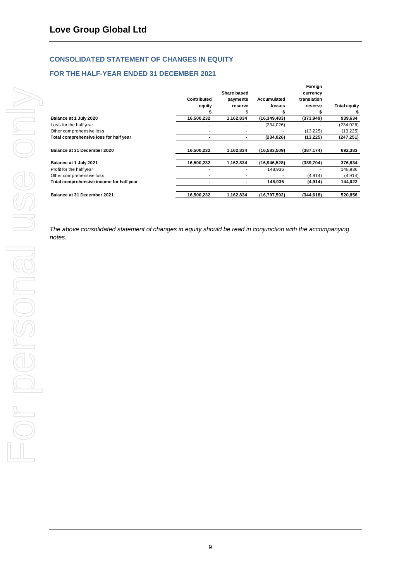#### **CONSOLIDATED STATEMENT OF CHANGES IN EQUITY**

#### **FOR THE HALF-YEAR ENDED 31 DECEMBER 2021**

|                                          |                |             |                | Foreign     |                     |
|------------------------------------------|----------------|-------------|----------------|-------------|---------------------|
|                                          |                | Share based |                | currency    |                     |
|                                          | Contributed    | payments    | Accumulated    | translation |                     |
|                                          | equity         | reserve     | losses         | reserve     | <b>Total equity</b> |
|                                          | 5              |             | S              |             |                     |
| Balance at 1 July 2020                   | 16.500.232     | 1.162.834   | (16, 349, 483) | (373,949)   | 939,634             |
| Loss for the half year                   | ۰              |             | (234, 026)     |             | (234, 026)          |
| Other comprehensive loss                 |                |             |                | (13, 225)   | (13, 225)           |
| Total comprehensive loss for half year   | $\blacksquare$ | ۰           | (234, 026)     | (13,225)    | (247, 251)          |
| Balance at 31 December 2020              | 16,500,232     | 1,162,834   | (16,583,509)   | (387, 174)  | 692,383             |
| Balance at 1 July 2021                   | 16,500,232     | 1,162,834   | (16, 946, 528) | (339,704)   | 376,834             |
| Profit for the half year                 |                |             | 148,936        |             | 148,936             |
| Other comprehensive loss                 |                |             |                | (4,914)     | (4, 914)            |
| Total comprehensive income for half year | ۰              | ۰           | 148,936        | (4,914)     | 144,022             |
| Balance at 31 December 2021              | 16.500.232     | 1,162,834   | (16,797,592)   | (344,618)   | 520,856             |

*The above consolidated statement of changes in equity should be read in conjunction with the accompanying notes.*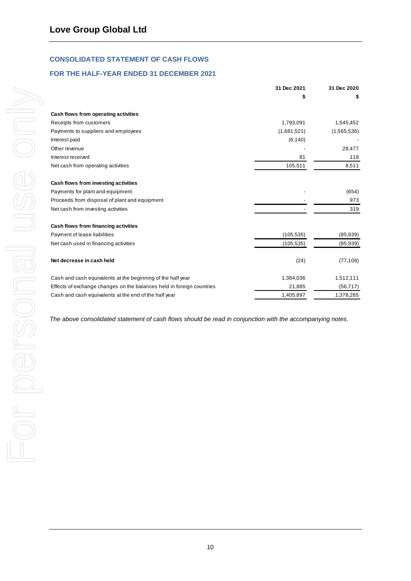### <span id="page-11-0"></span>**CONSOLIDATED STATEMENT OF CASH FLOWS**

#### **FOR THE HALF-YEAR ENDED 31 DECEMBER 2021**

|                                                                       | 31 Dec 2021 | 31 Dec 2020 |
|-----------------------------------------------------------------------|-------------|-------------|
|                                                                       | \$          | \$          |
| Cash flows from operating activities                                  |             |             |
| Receipts from customers                                               | 1,793,091   | 1,545,452   |
| Payments to suppliers and employees                                   | (1,681,521) | (1,565,536) |
| Interest paid                                                         | (6, 140)    |             |
| Other revenue                                                         |             | 28,477      |
| Interest received                                                     | 81          | 118         |
| Net cash from operating activities                                    | 105,511     | 8,511       |
| Cash flows from investing activities                                  |             |             |
| Payments for plant and equipment                                      |             | (654)       |
| Proceeds from disposal of plant and equipment                         |             | 973         |
| Net cash from investing activities                                    |             | 319         |
| Cash flows from financing activities                                  |             |             |
| Payment of lease liabilities                                          | (105, 535)  | (85, 939)   |
| Net cash used in financing activities                                 | (105, 535)  | (85, 939)   |
| Net decrease in cash held                                             | (24)        | (77, 109)   |
| Cash and cash equivalents at the beginning of the half year           | 1,384,036   | 1,512,111   |
| Effects of exchange changes on the balances held in foreign countries | 21,885      | (56, 717)   |
| Cash and cash equivalents at the end of the half year                 | 1,405,897   | 1,378,285   |

*The above consolidated statement of cash flows should be read in conjunction with the accompanying notes.*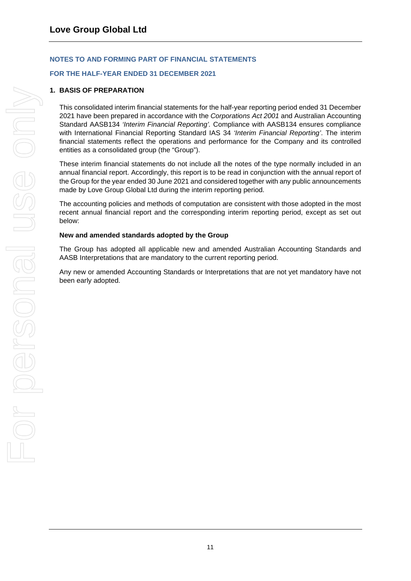#### **FOR THE HALF-YEAR ENDED 31 DECEMBER 2021**

#### **1. BASIS OF PREPARATION**

This consolidated interim financial statements for the half-year reporting period ended 31 December 2021 have been prepared in accordance with the *Corporations Act 2001* and Australian Accounting Standard AASB134 *'Interim Financial Reporting'.* Compliance with AASB134 ensures compliance with International Financial Reporting Standard IAS 34 *'Interim Financial Reporting'*. The interim financial statements reflect the operations and performance for the Company and its controlled entities as a consolidated group (the "Group").

These interim financial statements do not include all the notes of the type normally included in an annual financial report. Accordingly, this report is to be read in conjunction with the annual report of the Group for the year ended 30 June 2021 and considered together with any public announcements made by Love Group Global Ltd during the interim reporting period.

The accounting policies and methods of computation are consistent with those adopted in the most recent annual financial report and the corresponding interim reporting period, except as set out below:

#### **New and amended standards adopted by the Group**

The Group has adopted all applicable new and amended Australian Accounting Standards and AASB Interpretations that are mandatory to the current reporting period.

Any new or amended Accounting Standards or Interpretations that are not yet mandatory have not been early adopted.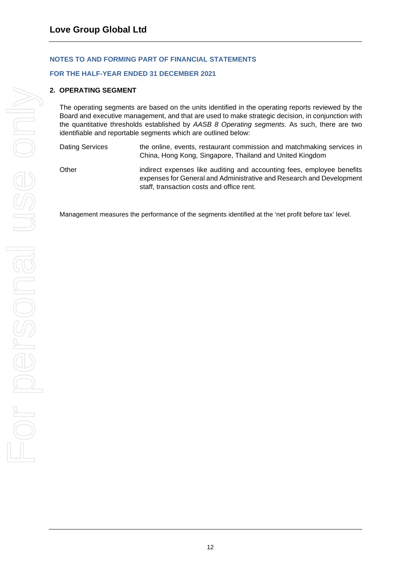#### **FOR THE HALF-YEAR ENDED 31 DECEMBER 2021**

#### **2. OPERATING SEGMENT**

The operating segments are based on the units identified in the operating reports reviewed by the Board and executive management, and that are used to make strategic decision, in conjunction with the quantitative thresholds established by *AASB 8 Operating segments.* As such, there are two identifiable and reportable segments which are outlined below:

| Dating Services | the online, events, restaurant commission and matchmaking services in<br>China, Hong Kong, Singapore, Thailand and United Kingdom              |
|-----------------|------------------------------------------------------------------------------------------------------------------------------------------------|
| Other           | indirect expenses like auditing and accounting fees, employee benefits<br>expenses for General and Administrative and Research and Development |

Management measures the performance of the segments identified at the 'net profit before tax' level.

staff, transaction costs and office rent.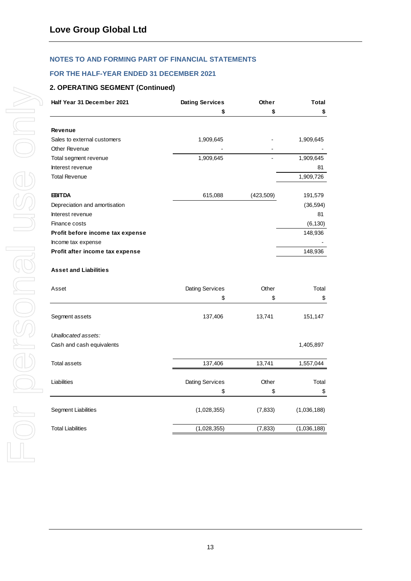#### **FOR THE HALF-YEAR ENDED 31 DECEMBER 2021**

#### **2. OPERATING SEGMENT (Continued)**

| Half Year 31 December 2021       | <b>Dating Services</b> | Other      | <b>Total</b> |
|----------------------------------|------------------------|------------|--------------|
|                                  | \$                     | \$         | \$           |
| <b>Revenue</b>                   |                        |            |              |
| Sales to external customers      | 1,909,645              |            | 1,909,645    |
| Other Revenue                    |                        |            |              |
| Total segment revenue            | 1,909,645              |            | 1,909,645    |
| Interest revenue                 |                        |            | 81           |
| <b>Total Revenue</b>             |                        |            | 1,909,726    |
| <b>EBITDA</b>                    | 615,088                | (423, 509) | 191,579      |
| Depreciation and amortisation    |                        |            | (36, 594)    |
| Interest revenue                 |                        |            | 81           |
| Finance costs                    |                        |            | (6, 130)     |
| Profit before income tax expense |                        |            | 148,936      |
| Income tax expense               |                        |            |              |
| Profit after income tax expense  |                        |            | 148,936      |
| <b>Asset and Liabilities</b>     |                        |            |              |
| Asset                            | Dating Services        | Other      | Total        |
|                                  | \$                     | \$         | \$           |
| Segment assets                   | 137,406                | 13,741     | 151,147      |
| Unallocated assets:              |                        |            |              |
| Cash and cash equivalents        |                        |            | 1,405,897    |
| <b>Total assets</b>              | 137,406                | 13,741     | 1,557,044    |
| Liabilities                      | Dating Services        | Other      | Total        |
|                                  | \$                     | \$         | \$           |
| <b>Segment Liabilities</b>       | (1,028,355)            | (7, 833)   | (1,036,188)  |
| <b>Total Liabilities</b>         | (1,028,355)            | (7, 833)   | (1,036,188)  |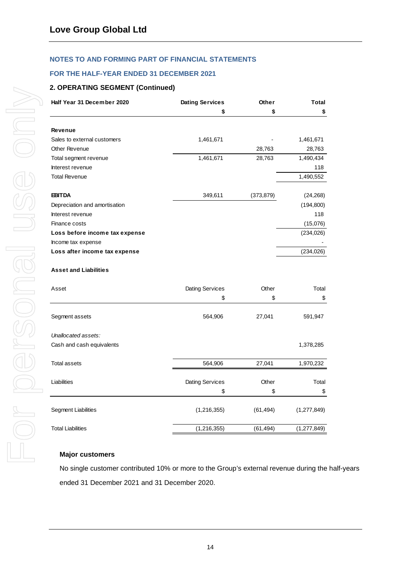#### **FOR THE HALF-YEAR ENDED 31 DECEMBER 2021**

#### **2. OPERATING SEGMENT (Continued)**

| Half Year 31 December 2020     | <b>Dating Services</b> | Other      | <b>Total</b>  |  |
|--------------------------------|------------------------|------------|---------------|--|
|                                | \$                     | S          | \$            |  |
| <b>Revenue</b>                 |                        |            |               |  |
| Sales to external customers    | 1,461,671              |            | 1,461,671     |  |
| Other Revenue                  |                        | 28,763     | 28,763        |  |
| Total segment revenue          | 1,461,671              | 28,763     | 1,490,434     |  |
| Interest revenue               |                        |            | 118           |  |
| <b>Total Revenue</b>           |                        |            | 1,490,552     |  |
| <b>EBITDA</b>                  | 349,611                | (373, 879) | (24, 268)     |  |
| Depreciation and amortisation  |                        |            | (194, 800)    |  |
| Interest revenue               |                        |            | 118           |  |
| Finance costs                  |                        |            | (15,076)      |  |
| Loss before income tax expense |                        |            | (234, 026)    |  |
| Income tax expense             |                        |            |               |  |
| Loss after income tax expense  |                        |            | (234, 026)    |  |
| <b>Asset and Liabilities</b>   |                        |            |               |  |
| Asset                          | <b>Dating Services</b> | Other      | Total         |  |
|                                | \$                     | \$         | \$            |  |
| Segment assets                 | 564,906                | 27,041     | 591,947       |  |
| Unallocated assets:            |                        |            |               |  |
| Cash and cash equivalents      |                        |            | 1,378,285     |  |
| <b>Total assets</b>            | 564,906                | 27,041     | 1,970,232     |  |
| Liabilities                    | <b>Dating Services</b> | Other      | Total         |  |
|                                | \$                     | \$         | \$            |  |
| Segment Liabilities            | (1,216,355)            | (61, 494)  | (1, 277, 849) |  |
| <b>Total Liabilities</b>       | (1,216,355)            | (61, 494)  | (1, 277, 849) |  |

#### **Major customers**

No single customer contributed 10% or more to the Group's external revenue during the half-years ended 31 December 2021 and 31 December 2020.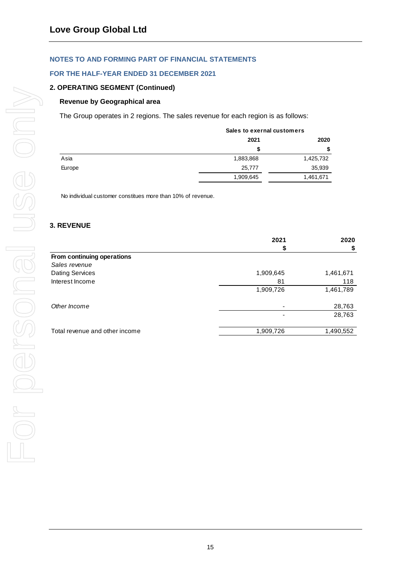#### **FOR THE HALF-YEAR ENDED 31 DECEMBER 2021**

#### **2. OPERATING SEGMENT (Continued)**

#### **Revenue by Geographical area**

The Group operates in 2 regions. The sales revenue for each region is as follows:

|        |           | Sales to exernal customers |  |  |
|--------|-----------|----------------------------|--|--|
|        | 2021      | 2020                       |  |  |
|        | S         | S                          |  |  |
| Asia   | 1,883,868 | 1,425,732                  |  |  |
| Europe | 25,777    | 35,939                     |  |  |
|        | 1,909,645 | 1,461,671                  |  |  |

No individual customer constitues more than 10% of revenue.

#### **3. REVENUE**

|                                | 2021      | 2020      |
|--------------------------------|-----------|-----------|
|                                |           | \$        |
| From continuing operations     |           |           |
| Sales revenue                  |           |           |
| Dating Services                | 1,909,645 | 1,461,671 |
| Interest Income                | 81        | 118       |
|                                | 1,909,726 | 1,461,789 |
| Other Income                   | ٠         | 28,763    |
|                                |           | 28,763    |
| Total revenue and other income | 1,909,726 | 1,490,552 |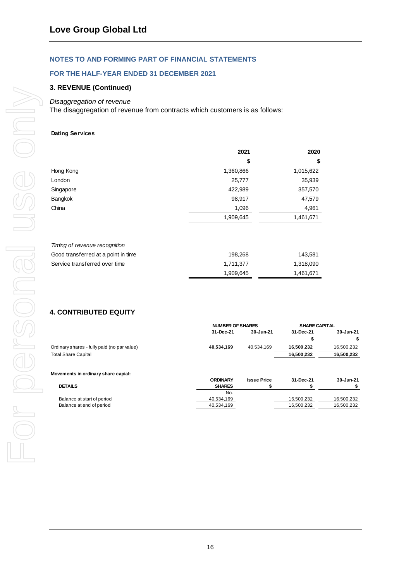#### **FOR THE HALF-YEAR ENDED 31 DECEMBER 2021**

#### **3. REVENUE (Continued)**

#### *Disaggregation of revenue*

The disaggregation of revenue from contracts which customers is as follows:

#### **Dating Services**

|           | 2021      | 2020      |  |
|-----------|-----------|-----------|--|
|           | \$        | \$        |  |
| Hong Kong | 1,360,866 | 1,015,622 |  |
| London    | 25,777    | 35,939    |  |
| Singapore | 422,989   | 357,570   |  |
| Bangkok   | 98,917    | 47,579    |  |
| China     | 1,096     | 4,961     |  |
|           | 1,909,645 | 1,461,671 |  |
|           |           |           |  |

| Timing of revenue recognition       |           |           |
|-------------------------------------|-----------|-----------|
| Good transferred at a point in time | 198.268   | 143.581   |
| Service transferred over time       | 1.711.377 | 1,318,090 |
|                                     | 1.909.645 | 1.461.671 |

### **4. CONTRIBUTED EQUITY**

|                                             | <b>NUMBER OF SHARES</b> |                    | <b>SHARE CAPITAL</b> |            |
|---------------------------------------------|-------------------------|--------------------|----------------------|------------|
|                                             | 31-Dec-21               | 30-Jun-21          | 31-Dec-21            | 30-Jun-21  |
|                                             |                         |                    |                      | \$         |
| Ordinary shares - fully paid (no par value) | 40,534,169              | 40.534.169         | 16,500,232           | 16,500,232 |
| <b>Total Share Capital</b>                  |                         |                    | 16,500,232           | 16,500,232 |
| Movements in ordinary share capial:         | <b>ORDINARY</b>         | <b>Issue Price</b> | 31-Dec-21            | 30-Jun-21  |
| <b>DETAILS</b>                              | <b>SHARES</b>           |                    |                      |            |
|                                             | No.                     |                    |                      |            |
| Balance at start of period                  | 40,534,169              |                    | 16,500,232           | 16,500,232 |
| Balance at end of period                    | 40.534.169              |                    | 16.500.232           | 16.500.232 |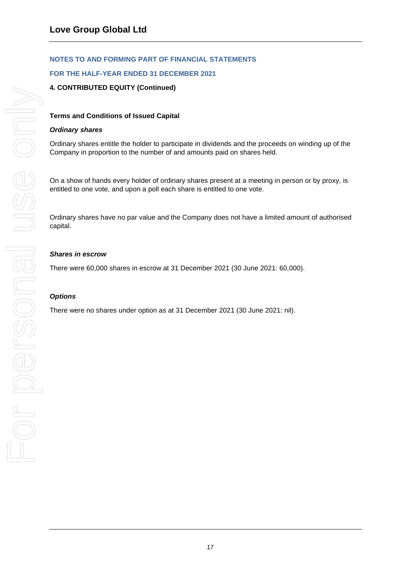#### **FOR THE HALF-YEAR ENDED 31 DECEMBER 2021**

#### **4. CONTRIBUTED EQUITY (Continued)**

#### **Terms and Conditions of Issued Capital**

#### *Ordinary shares*

Ordinary shares entitle the holder to participate in dividends and the proceeds on winding up of the Company in proportion to the number of and amounts paid on shares held.

On a show of hands every holder of ordinary shares present at a meeting in person or by proxy, is entitled to one vote, and upon a poll each share is entitled to one vote.

Ordinary shares have no par value and the Company does not have a limited amount of authorised capital.

#### *Shares in escrow*

There were 60,000 shares in escrow at 31 December 2021 (30 June 2021: 60,000).

#### *Options*

There were no shares under option as at 31 December 2021 (30 June 2021: nil).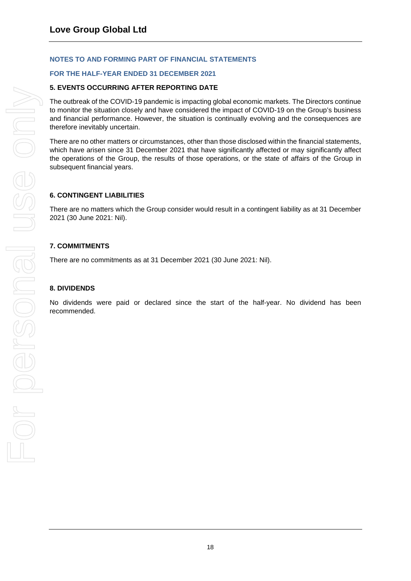#### **FOR THE HALF-YEAR ENDED 31 DECEMBER 2021**

#### **5. EVENTS OCCURRING AFTER REPORTING DATE**

The outbreak of the COVID-19 pandemic is impacting global economic markets. The Directors continue to monitor the situation closely and have considered the impact of COVID-19 on the Group's business and financial performance. However, the situation is continually evolving and the consequences are therefore inevitably uncertain.

There are no other matters or circumstances, other than those disclosed within the financial statements, which have arisen since 31 December 2021 that have significantly affected or may significantly affect the operations of the Group, the results of those operations, or the state of affairs of the Group in subsequent financial years.

#### **6. CONTINGENT LIABILITIES**

There are no matters which the Group consider would result in a contingent liability as at 31 December 2021 (30 June 2021: Nil).

#### **7. COMMITMENTS**

There are no commitments as at 31 December 2021 (30 June 2021: Nil).

#### **8. DIVIDENDS**

No dividends were paid or declared since the start of the half-year. No dividend has been recommended.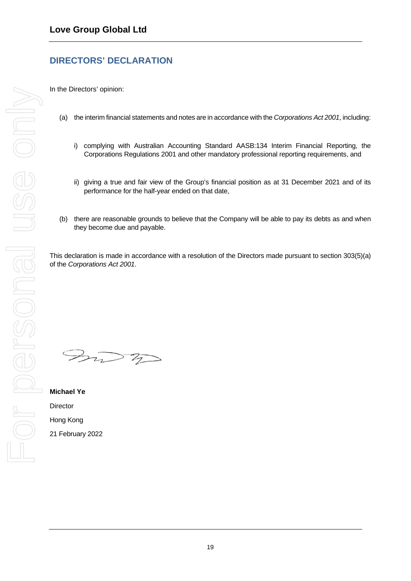## <span id="page-20-0"></span>**DIRECTORS' DECLARATION**

In the Directors' opinion:

- (a) the interim financial statements and notes are in accordance with the *Corporations Act 2001*, including:
	- i) complying with Australian Accounting Standard AASB:134 Interim Financial Reporting, the Corporations Regulations 2001 and other mandatory professional reporting requirements, and
	- ii) giving a true and fair view of the Group's financial position as at 31 December 2021 and of its performance for the half-year ended on that date,
- (b) there are reasonable grounds to believe that the Company will be able to pay its debts as and when they become due and payable.

This declaration is made in accordance with a resolution of the Directors made pursuant to section 303(5)(a) of the *Corporations Act 2001*.

 $307$ 

**Michael Ye Director** Hong Kong 21 February 2022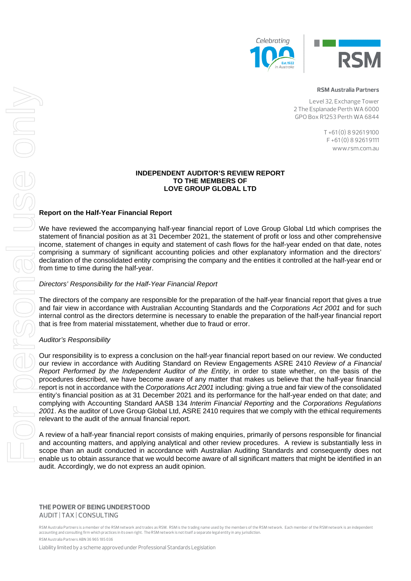



#### **RSM Australia Partners**

Level 32, Exchange Tower 2 The Esplanade Perth WA 6000 GPO Box R1253 Perth WA 6844

> T +61 (0) 8 9261 9100 F +61 (0) 8 9261 9111 www.rsm.com.au

#### **INDEPENDENT AUDITOR'S REVIEW REPORT TO THE MEMBERS OF LOVE GROUP GLOBAL LTD**

#### **Report on the Half-Year Financial Report**

We have reviewed the accompanying half-year financial report of Love Group Global Ltd which comprises the statement of financial position as at 31 December 2021, the statement of profit or loss and other comprehensive income, statement of changes in equity and statement of cash flows for the half-year ended on that date, notes comprising a summary of significant accounting policies and other explanatory information and the directors' declaration of the consolidated entity comprising the company and the entities it controlled at the half-year end or from time to time during the half-year.

#### *Directors' Responsibility for the Half-Year Financial Report*

The directors of the company are responsible for the preparation of the half-year financial report that gives a true and fair view in accordance with Australian Accounting Standards and the *Corporations Act 2001* and for such internal control as the directors determine is necessary to enable the preparation of the half-year financial report that is free from material misstatement, whether due to fraud or error.

#### *Auditor's Responsibility*

Our responsibility is to express a conclusion on the half-year financial report based on our review. We conducted our review in accordance with Auditing Standard on Review Engagements ASRE 2410 *Review of a Financial Report Performed by the Independent Auditor of the Entity*, in order to state whether, on the basis of the procedures described, we have become aware of any matter that makes us believe that the half-year financial report is not in accordance with the *Corporations Act 2001* including: giving a true and fair view of the consolidated entity's financial position as at 31 December 2021 and its performance for the half-year ended on that date; and complying with Accounting Standard AASB 134 *Interim Financial Reporting* and the *Corporations Regulations 2001*. As the auditor of Love Group Global Ltd, ASRE 2410 requires that we comply with the ethical requirements relevant to the audit of the annual financial report. Enable us to obtain a state of all significant and the significant assume that we would be interesting to obtain a state of a state of a state of a state of all significant matters that might be interesting to a state of

A review of a half-year financial report consists of making enquiries, primarily of persons responsible for financial and accounting matters, and applying analytical and other review procedures. A review is substantially less in scope than an audit conducted in accordance with Australian Auditing Standards and consequently does not audit. Accordingly, we do not express an audit opinion.

**THE POWER OF BEING UNDERSTOOD** AUDIT | TAX | CONSULTING

RSM Australia Partners is a member of the RSM network and trades as RSM. RSM is the trading name used by the members of the RSM network. Each member of the RSM network is an independent accounting and consulting firm which practices in its own right. The RSM network is not itself a separate legal entity in any jurisdiction. RSM Australia Partners ABN 36 965 185 036

Liability limited by a scheme approved under Professional Standards Legislation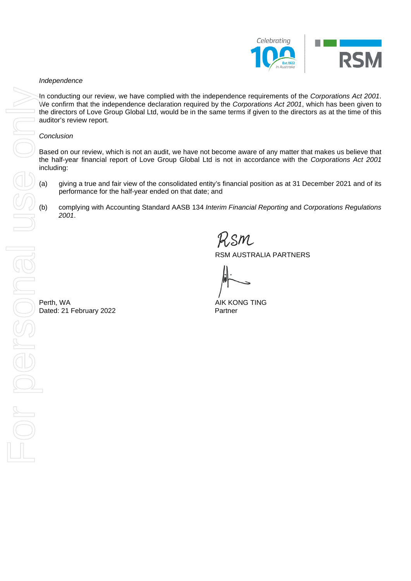

#### *Independence*

In conducting our review, we have complied with the independence requirements of the *Corporations Act 2001*. We confirm that the independence declaration required by the *Corporations Act 2001*, which has been given to the directors of Love Group Global Ltd, would be in the same terms if given to the directors as at the time of this auditor's review report.

#### *Conclusion*

Based on our review, which is not an audit, we have not become aware of any matter that makes us believe that the half-year financial report of Love Group Global Ltd is not in accordance with the *Corporations Act 2001*  including:

- (a) giving a true and fair view of the consolidated entity's financial position as at 31 December 2021 and of its performance for the half-year ended on that date; and
- (b) complying with Accounting Standard AASB 134 *Interim Financial Reporting* and *Corporations Regulations 2001*.

RSM AUSTRALIA PARTNERS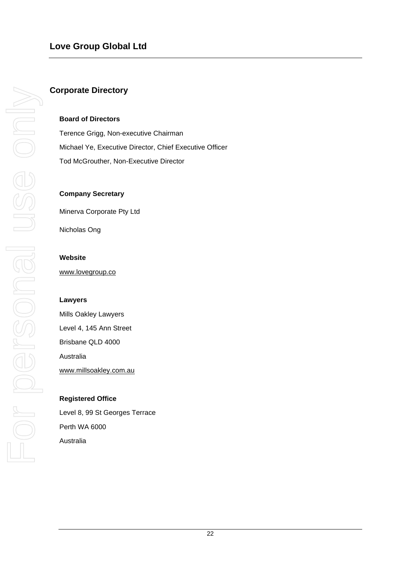### **Love Group Global Ltd**

#### <span id="page-23-0"></span>**Corporate Directory**

#### **Board of Directors**

Terence Grigg, Non-executive Chairman Michael Ye, Executive Director, Chief Executive Officer Tod McGrouther, Non-Executive Director

#### **Company Secretary**

Minerva Corporate Pty Ltd

Nicholas Ong

#### **Website**

www.lovegroup.co

#### **Lawyers**

Mills Oakley Lawyers Level 4, 145 Ann Street Brisbane QLD 4000 Australia [www.millsoakley.com.au](http://www.millsoakley.com.au/)

#### **Registered Office**

Level 8, 99 St Georges Terrace Perth WA 6000 Australia